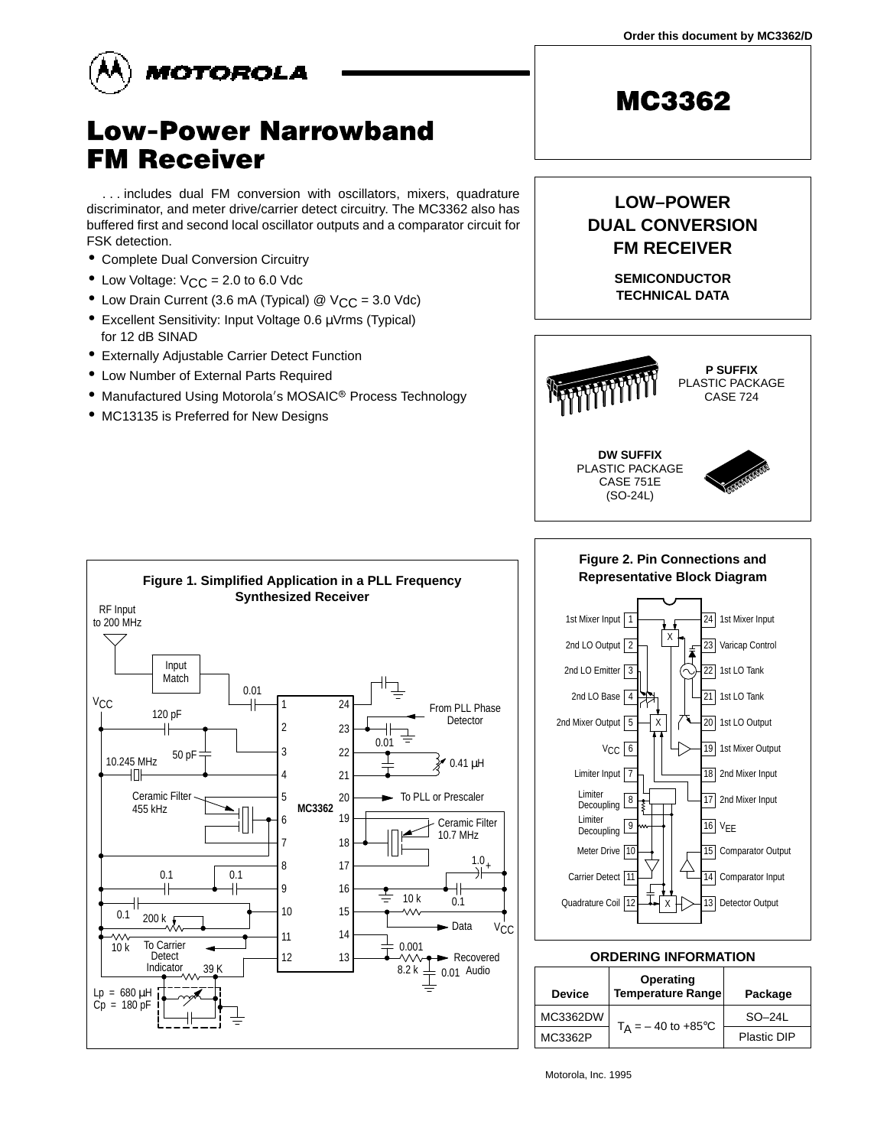**Order this document by MC3362/D**



# **Low-Power Narrowband FM Receiver**

. . . includes dual FM conversion with oscillators, mixers, quadrature discriminator, and meter drive/carrier detect circuitry. The MC3362 also has buffered first and second local oscillator outputs and a comparator circuit for FSK detection.

- Complete Dual Conversion Circuitry
- Low Voltage:  $V_{CC} = 2.0$  to 6.0 Vdc
- Low Drain Current (3.6 mA (Typical) @ V<sub>CC</sub> = 3.0 Vdc)
- Excellent Sensitivity: Input Voltage 0.6 µVrms (Typical) for 12 dB SINAD
- Externally Adjustable Carrier Detect Function
- Low Number of External Parts Required
- Manufactured Using Motorola's MOSAIC<sup>®</sup> Process Technology
- MC13135 is Preferred for New Designs



**SEMICONDUCTOR**

**LOW–POWER DUAL CONVERSION FM RECEIVER**

**MC3362** 





### **ORDERING INFORMATION**

| Device   | Operating<br>Temperature Range | Package     |  |
|----------|--------------------------------|-------------|--|
| MC3362DW | $T_A = -40$ to +85°C           | $SO-241$    |  |
| MC3362P  |                                | Plastic DIP |  |

Motorola, Inc. 1995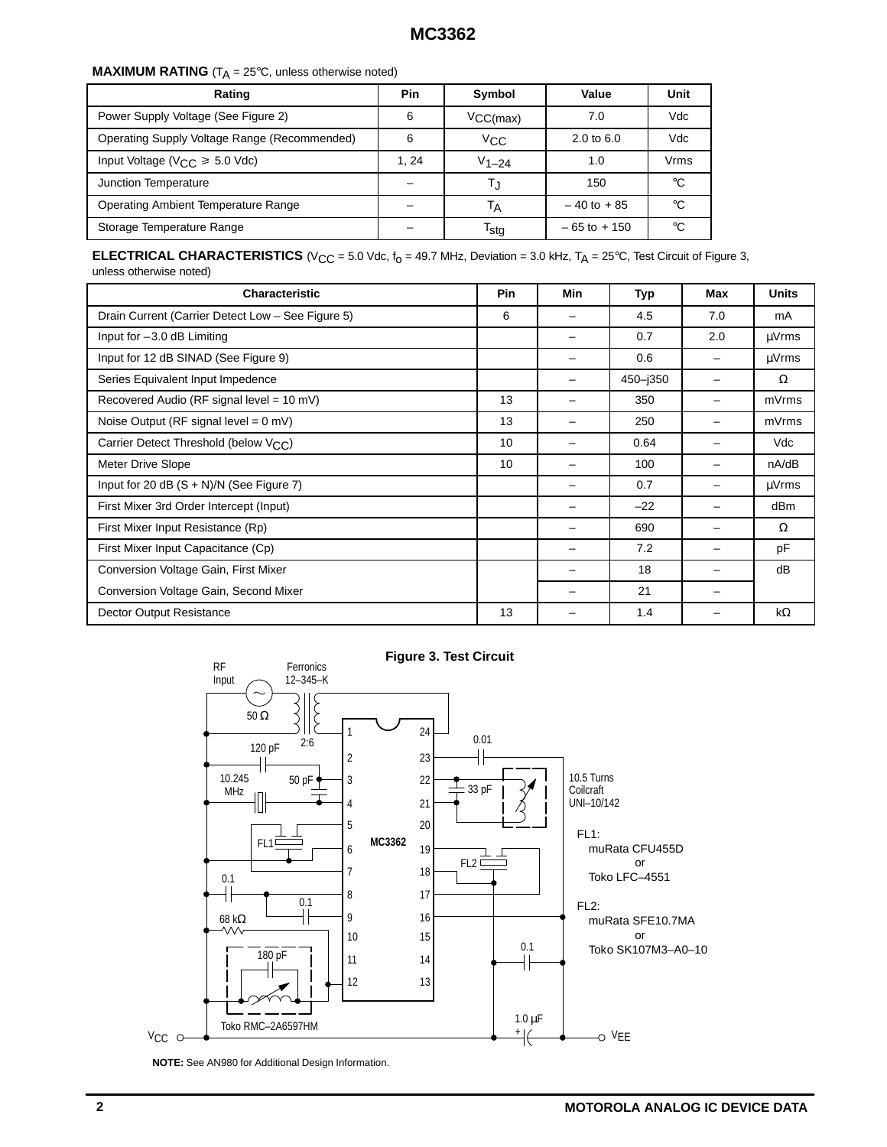## **MAXIMUM RATING**  $(T_A = 25^{\circ}C$ , unless otherwise noted)

| Rating                                       | Pin  | Symbol                      | Value                 | Unit |
|----------------------------------------------|------|-----------------------------|-----------------------|------|
| Power Supply Voltage (See Figure 2)          | 6    | $VCC(max)$                  | 7.0                   | Vdc  |
| Operating Supply Voltage Range (Recommended) | 6    | $V_{CC}$                    | $2.0 \text{ to } 6.0$ | Vdc  |
| Input Voltage ( $V_{CC} \ge 5.0$ Vdc)        | 1.24 | $V_{1-24}$                  | 1.0                   | Vrms |
| Junction Temperature                         |      | Т.                          | 150                   | °€   |
| Operating Ambient Temperature Range          |      | $-40$ to $+85$<br>Тд        |                       | ം    |
| Storage Temperature Range                    |      | $\mathsf{I}_{\mathsf{Std}}$ | $-65$ to $+150$       | °€   |

**ELECTRICAL CHARACTERISTICS** ( $V_{CC}$  = 5.0 Vdc,  $f_0$  = 49.7 MHz, Deviation = 3.0 kHz,  $T_A$  = 25°C, Test Circuit of Figure 3, unless otherwise noted)

| <b>Characteristic</b>                             | <b>Pin</b> | Min | Typ      | Max                      | <b>Units</b> |
|---------------------------------------------------|------------|-----|----------|--------------------------|--------------|
| Drain Current (Carrier Detect Low - See Figure 5) |            |     | 4.5      | 7.0                      | mA           |
| Input for $-3.0$ dB Limiting                      |            |     | 0.7      | 2.0                      | µVrms        |
| Input for 12 dB SINAD (See Figure 9)              |            |     | 0.6      | $\overline{\phantom{0}}$ | µVrms        |
| Series Equivalent Input Impedence                 |            |     | 450-j350 |                          | Ω            |
| Recovered Audio (RF signal level = 10 mV)         | 13         |     | 350      |                          | mVrms        |
| Noise Output (RF signal level = $0$ mV)           | 13         |     | 250      |                          | mVrms        |
| Carrier Detect Threshold (below V <sub>CC</sub> ) | 10         |     | 0.64     |                          | Vdc          |
| Meter Drive Slope                                 | 10         |     | 100      |                          | nA/dB        |
| Input for 20 dB $(S + N)/N$ (See Figure 7)        |            |     | 0.7      |                          | µVrms        |
| First Mixer 3rd Order Intercept (Input)           |            |     | $-22$    |                          | dBm          |
| First Mixer Input Resistance (Rp)                 |            |     | 690      |                          | Ω            |
| First Mixer Input Capacitance (Cp)                |            |     | 7.2      |                          | pF           |
| Conversion Voltage Gain, First Mixer              |            |     | 18       |                          | dB           |
| Conversion Voltage Gain, Second Mixer             |            |     | 21       |                          |              |
| Dector Output Resistance                          | 13         |     | 1.4      |                          | $k\Omega$    |



**NOTE:** See AN980 for Additional Design Information.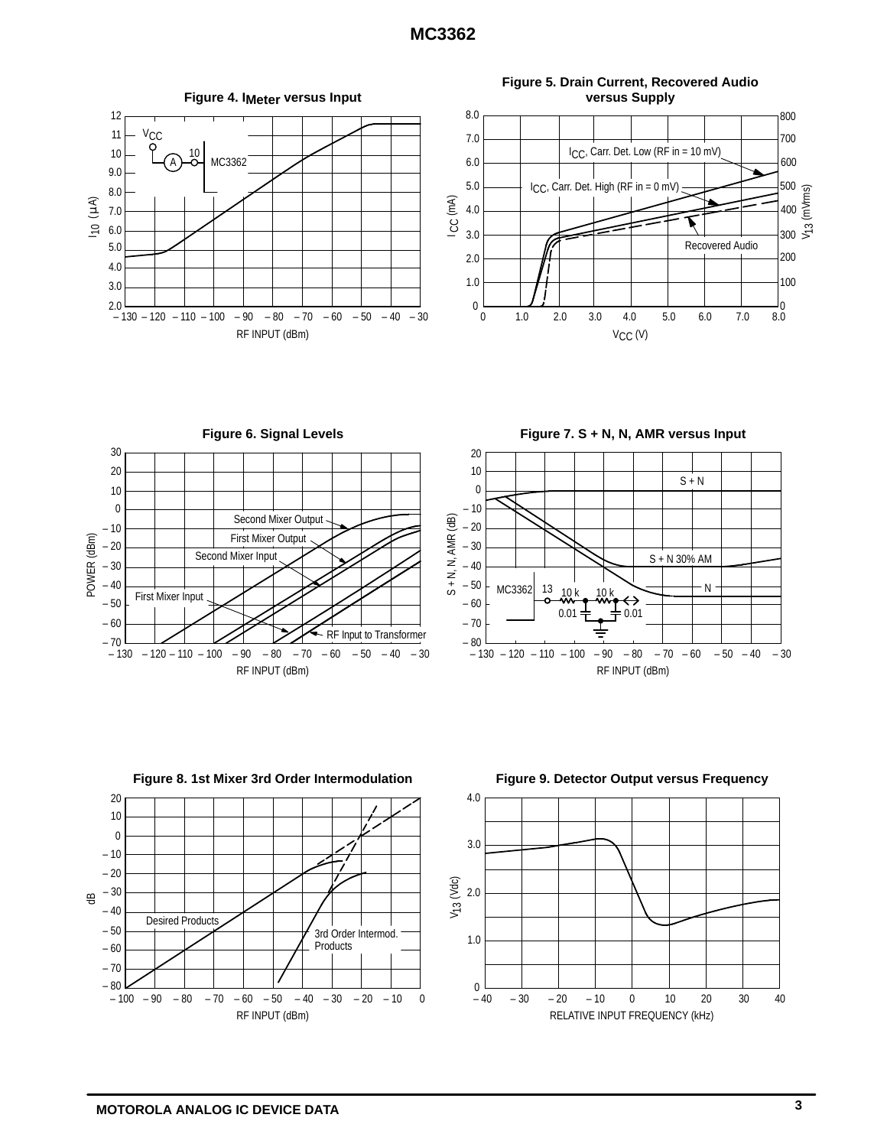

**Figure 6. Signal Levels** 30 20 10 0 Second Mixer Output  $-10$ First Mixer Output POWER (dBm) POWER (dBm) – 20 Second Mixer Input – 30 – 40 First Mixer Input – 50 – 60 RF Input to Transformer — 70<br>130 –  $-90 - 80 - 70$  $-60 - 50 - 40 - 30$ – 100 – 130 – 120 – 110 RF INPUT (dBm)







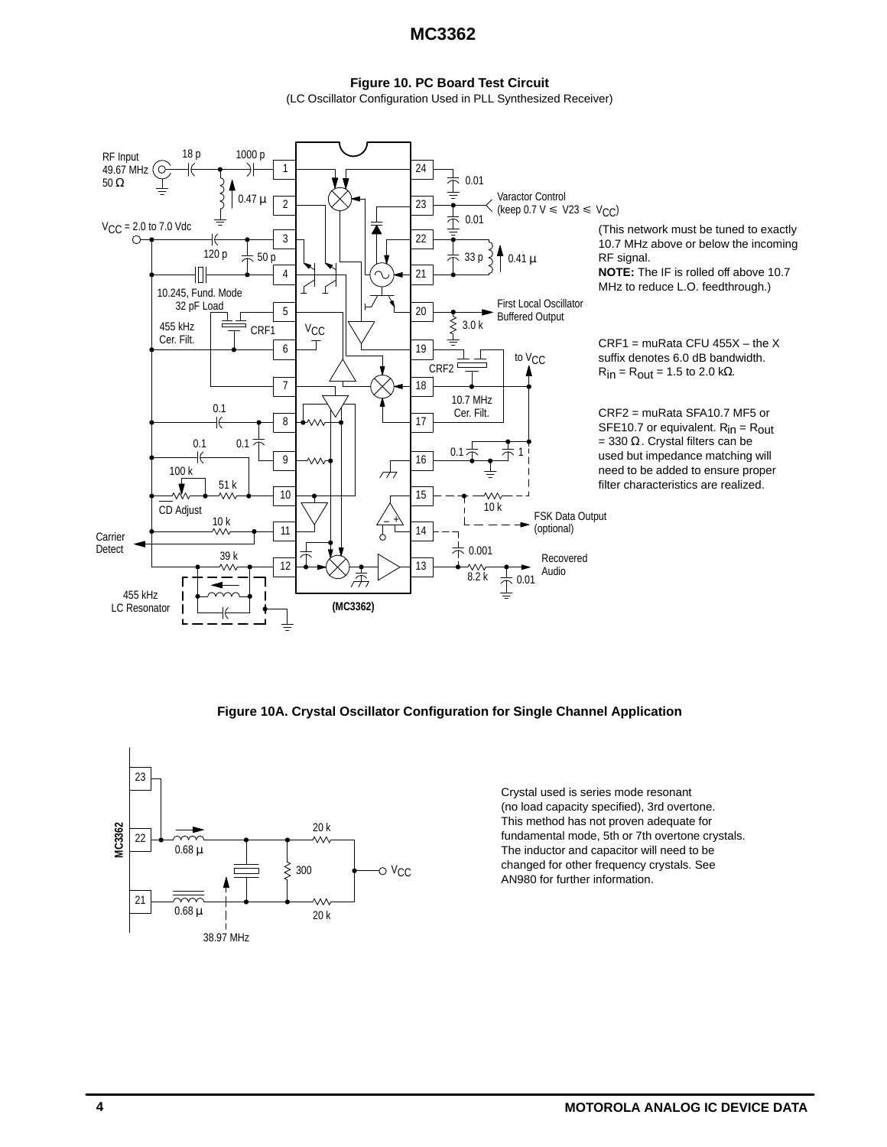# **Figure 10. PC Board Test Circuit**

(LC Oscillator Configuration Used in PLL Synthesized Receiver)



**Figure 10A. Crystal Oscillator Configuration for Single Channel Application**



Crystal used is series mode resonant (no load capacity specified), 3rd overtone. This method has not proven adequate for fundamental mode, 5th or 7th overtone crystals. The inductor and capacitor will need to be changed for other frequency crystals. See AN980 for further information.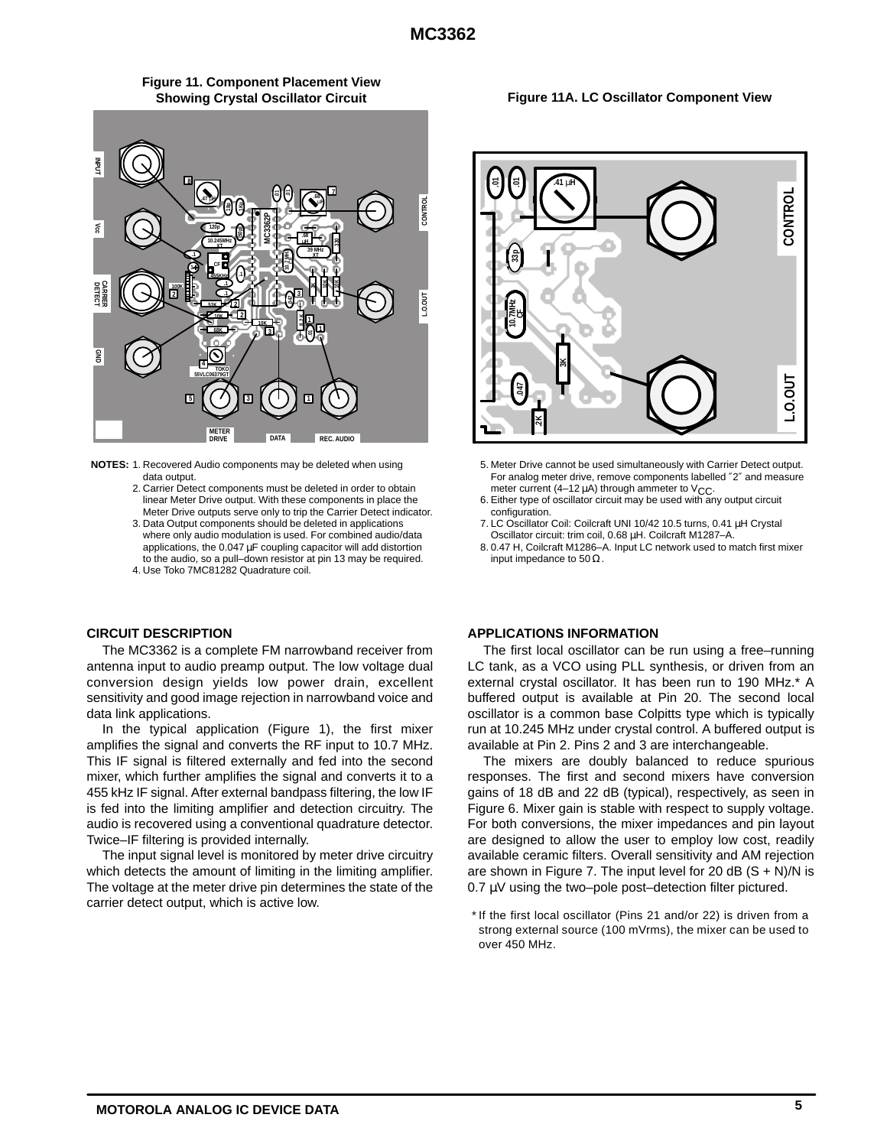

**Figure 11. Component Placement View Showing Crystal Oscillator Circuit**

**NOTES:** 1. Recovered Audio components may be deleted when using data output.

- 2. Carrier Detect components must be deleted in order to obtain linear Meter Drive output. With these components in place the Meter Drive outputs serve only to trip the Carrier Detect indicator.
- 3. Data Output components should be deleted in applications where only audio modulation is used. For combined audio/data applications, the 0.047 µF coupling capacitor will add distortion to the audio, so a pull–down resistor at pin 13 may be required.

4. Use Toko 7MC81282 Quadrature coil.

### **CIRCUIT DESCRIPTION**

The MC3362 is a complete FM narrowband receiver from antenna input to audio preamp output. The low voltage dual conversion design yields low power drain, excellent sensitivity and good image rejection in narrowband voice and data link applications.

In the typical application (Figure 1), the first mixer amplifies the signal and converts the RF input to 10.7 MHz. This IF signal is filtered externally and fed into the second mixer, which further amplifies the signal and converts it to a 455 kHz IF signal. After external bandpass filtering, the low IF is fed into the limiting amplifier and detection circuitry. The audio is recovered using a conventional quadrature detector. Twice–IF filtering is provided internally.

The input signal level is monitored by meter drive circuitry which detects the amount of limiting in the limiting amplifier. The voltage at the meter drive pin determines the state of the carrier detect output, which is active low.

#### **Figure 11A. LC Oscillator Component View**



- 5. Meter Drive cannot be used simultaneously with Carrier Detect output. For analog meter drive, remove components labelled ″2″ and measure meter current (4-12  $\mu$ A) through ammeter to V<sub>CC</sub>.
- 6. Either type of oscillator circuit may be used with any output circuit configuration.
- 7. LC Oscillator Coil: Coilcraft UNI 10/42 10.5 turns, 0.41 µH Crystal Oscillator circuit: trim coil, 0.68 µH. Coilcraft M1287–A.
- 8. 0.47 H, Coilcraft M1286–A. Input LC network used to match first mixer input impedance to 50  $\Omega$ .

### **APPLICATIONS INFORMATION**

The first local oscillator can be run using a free–running LC tank, as a VCO using PLL synthesis, or driven from an external crystal oscillator. It has been run to 190 MHz.\* A buffered output is available at Pin 20. The second local oscillator is a common base Colpitts type which is typically run at 10.245 MHz under crystal control. A buffered output is available at Pin 2. Pins 2 and 3 are interchangeable.

The mixers are doubly balanced to reduce spurious responses. The first and second mixers have conversion gains of 18 dB and 22 dB (typical), respectively, as seen in Figure 6. Mixer gain is stable with respect to supply voltage. For both conversions, the mixer impedances and pin layout are designed to allow the user to employ low cost, readily available ceramic filters. Overall sensitivity and AM rejection are shown in Figure 7. The input level for 20 dB  $(S + N)/N$  is 0.7 µV using the two–pole post–detection filter pictured.

\* If the first local oscillator (Pins 21 and/or 22) is driven from a strong external source (100 mVrms), the mixer can be used to over 450 MHz.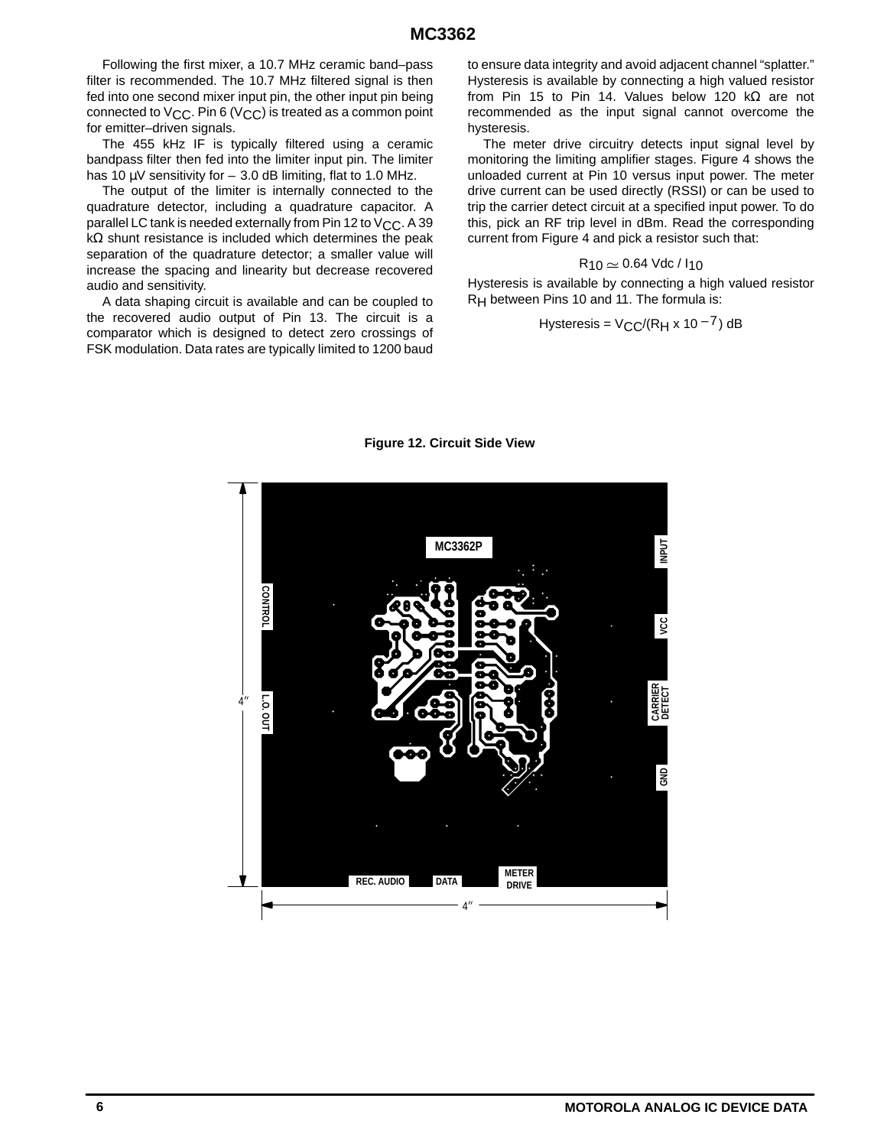Following the first mixer, a 10.7 MHz ceramic band–pass filter is recommended. The 10.7 MHz filtered signal is then fed into one second mixer input pin, the other input pin being connected to  $V_{\text{CC}}$ . Pin 6 (V<sub>CC</sub>) is treated as a common point for emitter–driven signals.

The 455 kHz IF is typically filtered using a ceramic bandpass filter then fed into the limiter input pin. The limiter has 10  $\mu$ V sensitivity for  $-$  3.0 dB limiting, flat to 1.0 MHz.

The output of the limiter is internally connected to the quadrature detector, including a quadrature capacitor. A parallel LC tank is needed externally from Pin 12 to V<sub>CC</sub>. A 39 kΩ shunt resistance is included which determines the peak separation of the quadrature detector; a smaller value will increase the spacing and linearity but decrease recovered audio and sensitivity.

A data shaping circuit is available and can be coupled to the recovered audio output of Pin 13. The circuit is a comparator which is designed to detect zero crossings of FSK modulation. Data rates are typically limited to 1200 baud to ensure data integrity and avoid adjacent channel "splatter." Hysteresis is available by connecting a high valued resistor from Pin 15 to Pin 14. Values below 120 kΩ are not recommended as the input signal cannot overcome the hysteresis.

The meter drive circuitry detects input signal level by monitoring the limiting amplifier stages. Figure 4 shows the unloaded current at Pin 10 versus input power. The meter drive current can be used directly (RSSI) or can be used to trip the carrier detect circuit at a specified input power. To do this, pick an RF trip level in dBm. Read the corresponding current from Figure 4 and pick a resistor such that:

### $R_{10} \simeq 0.64$  Vdc /  $I_{10}$

Hysteresis is available by connecting a high valued resistor RH between Pins 10 and 11. The formula is:

$$
Hysteresis = VCC/(RH x 10-7) dB
$$



#### **Figure 12. Circuit Side View**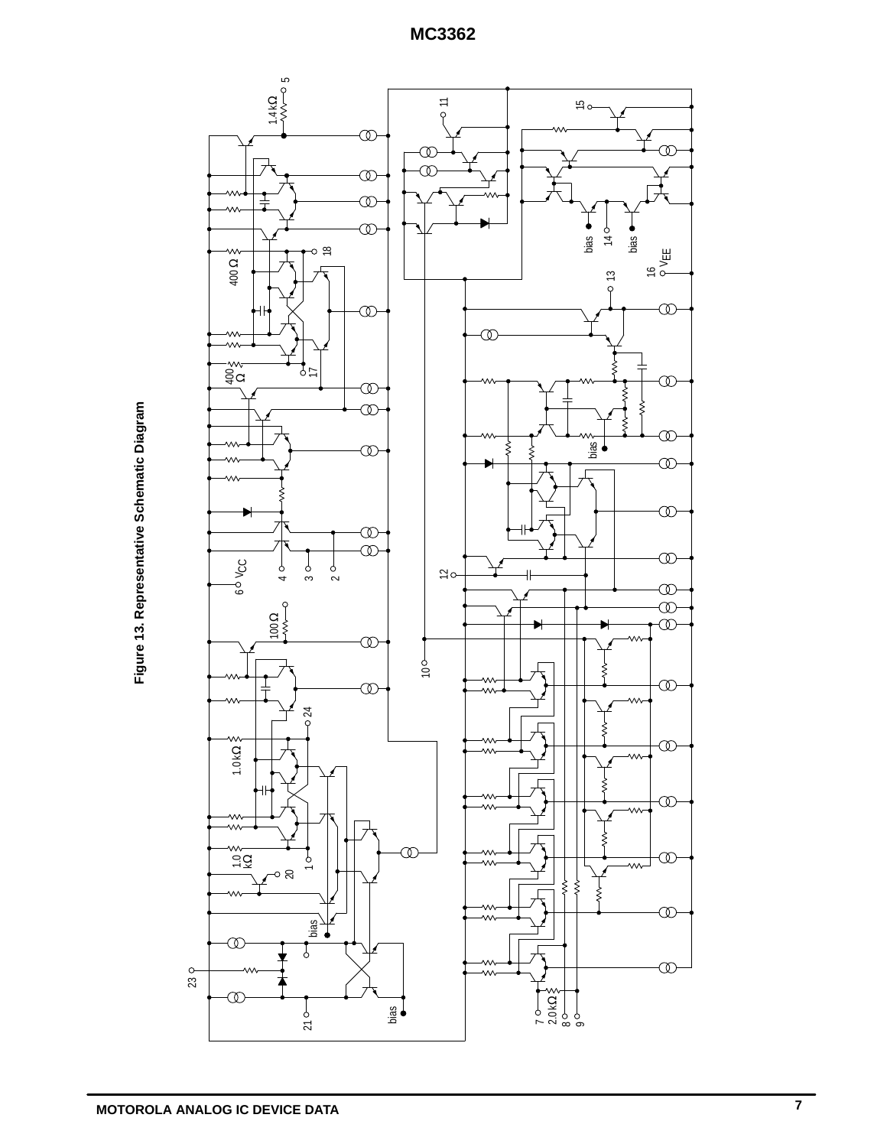

Figure 13. Representative Schematic Diagram **Figure 13. Representative Schematic Diagram**